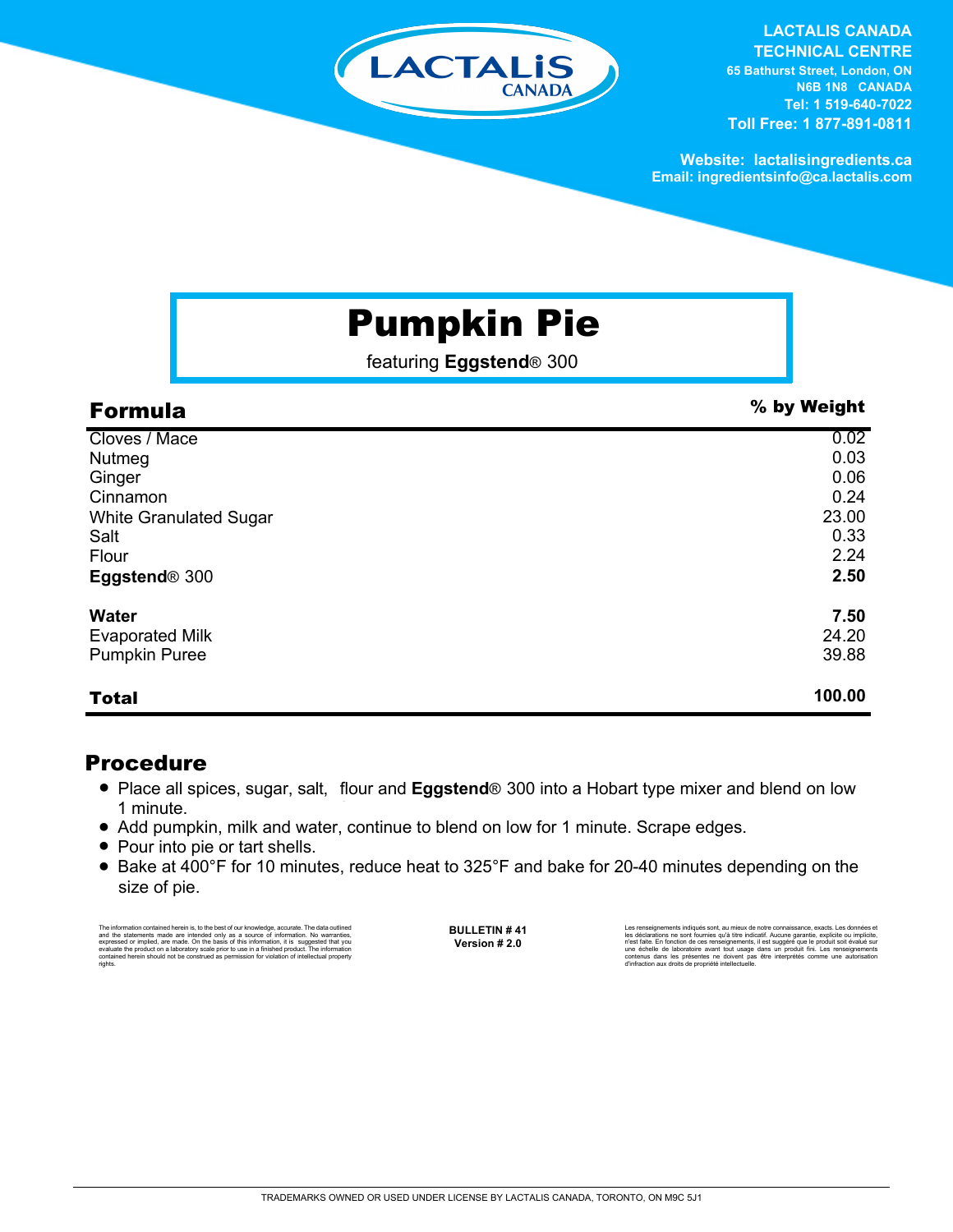

**LACTALIS CANADA TECHNICAL CENTRE 65 Bathurst Street, London, ON N6B 1N8 CANADA Tel: 1 519-640-7022 Toll Free: 1 877-891-0811**

**Website: lactalisingredients.ca Email: ingredientsinfo@ca.lactalis.com**

# Pumpkin Pie

featuring **Eggstend**® 300

| <b>Formula</b>                | % by Weight |
|-------------------------------|-------------|
| Cloves / Mace                 | 0.02        |
| Nutmeg                        | 0.03        |
| Ginger                        | 0.06        |
| Cinnamon                      | 0.24        |
| <b>White Granulated Sugar</b> | 23.00       |
| Salt                          | 0.33        |
| Flour                         | 2.24        |
| Eggstend <sup>®</sup> 300     | 2.50        |
| <b>Water</b>                  | 7.50        |
| <b>Evaporated Milk</b>        | 24.20       |
| <b>Pumpkin Puree</b>          | 39.88       |
| <b>Total</b>                  | 100.00      |

## Procedure

- Place all spices, sugar, salt, flour and **Eggstend**<sup>®</sup> 300 into a Hobart type mixer and blend on low 1 minute.
- Add pumpkin, milk and water, continue to blend on low for 1 minute. Scrape edges.
- Pour into pie or tart shells.
- Bake at 400°F for 10 minutes, reduce heat to 325°F and bake for 20-40 minutes depending on the size of pie.

The information contained herein is, to the best of our knowledge, accurate. The data outlined<br>and the statements made are intended only as a asureo of information. No warranties,<br>expressed or implied, are made. On the bas rights.

**BULLETIN # 41 Version # 2.0**

Les renseignements indiqués sont, au mieux de notre connaissance, exacts. Les données et<br>les déclarations ne sont fournies qu'à titre indicatif. Aucune garantie, explicite ou implicite,<br>riest faite. En fonction de ces rens